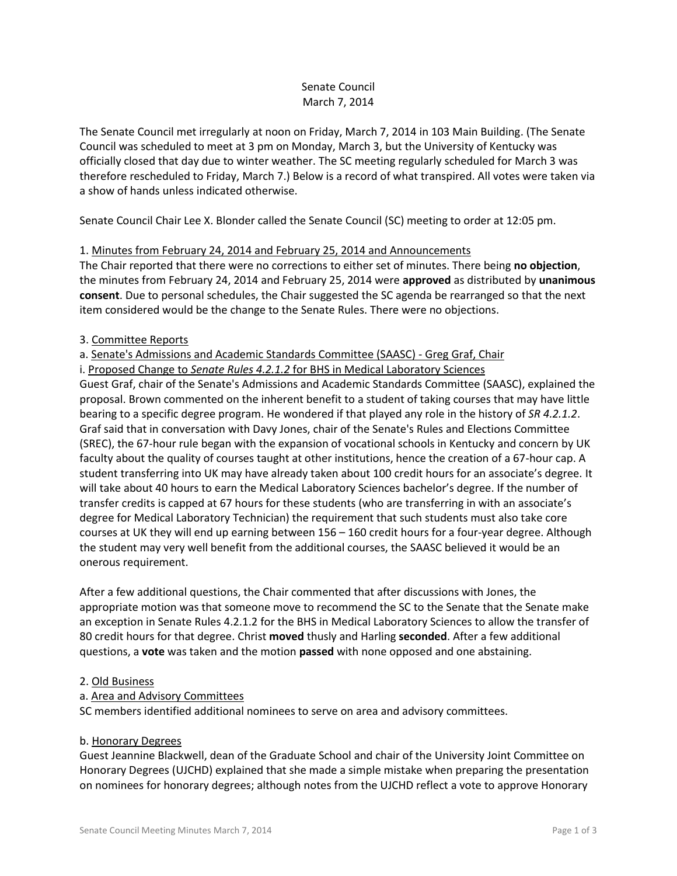# Senate Council March 7, 2014

The Senate Council met irregularly at noon on Friday, March 7, 2014 in 103 Main Building. (The Senate Council was scheduled to meet at 3 pm on Monday, March 3, but the University of Kentucky was officially closed that day due to winter weather. The SC meeting regularly scheduled for March 3 was therefore rescheduled to Friday, March 7.) Below is a record of what transpired. All votes were taken via a show of hands unless indicated otherwise.

Senate Council Chair Lee X. Blonder called the Senate Council (SC) meeting to order at 12:05 pm.

# 1. Minutes from February 24, 2014 and February 25, 2014 and Announcements

The Chair reported that there were no corrections to either set of minutes. There being **no objection**, the minutes from February 24, 2014 and February 25, 2014 were **approved** as distributed by **unanimous consent**. Due to personal schedules, the Chair suggested the SC agenda be rearranged so that the next item considered would be the change to the Senate Rules. There were no objections.

## 3. Committee Reports

# a. Senate's Admissions and Academic Standards Committee (SAASC) - Greg Graf, Chair

i. Proposed Change to *Senate Rules 4.2.1.2* for BHS in Medical Laboratory Sciences

Guest Graf, chair of the Senate's Admissions and Academic Standards Committee (SAASC), explained the proposal. Brown commented on the inherent benefit to a student of taking courses that may have little bearing to a specific degree program. He wondered if that played any role in the history of *SR 4.2.1.2*. Graf said that in conversation with Davy Jones, chair of the Senate's Rules and Elections Committee (SREC), the 67-hour rule began with the expansion of vocational schools in Kentucky and concern by UK faculty about the quality of courses taught at other institutions, hence the creation of a 67-hour cap. A student transferring into UK may have already taken about 100 credit hours for an associate's degree. It will take about 40 hours to earn the Medical Laboratory Sciences bachelor's degree. If the number of transfer credits is capped at 67 hours for these students (who are transferring in with an associate's degree for Medical Laboratory Technician) the requirement that such students must also take core courses at UK they will end up earning between 156 – 160 credit hours for a four-year degree. Although the student may very well benefit from the additional courses, the SAASC believed it would be an onerous requirement.

After a few additional questions, the Chair commented that after discussions with Jones, the appropriate motion was that someone move to recommend the SC to the Senate that the Senate make an exception in Senate Rules 4.2.1.2 for the BHS in Medical Laboratory Sciences to allow the transfer of 80 credit hours for that degree. Christ **moved** thusly and Harling **seconded**. After a few additional questions, a **vote** was taken and the motion **passed** with none opposed and one abstaining.

## 2. Old Business

## a. Area and Advisory Committees

SC members identified additional nominees to serve on area and advisory committees.

#### b. Honorary Degrees

Guest Jeannine Blackwell, dean of the Graduate School and chair of the University Joint Committee on Honorary Degrees (UJCHD) explained that she made a simple mistake when preparing the presentation on nominees for honorary degrees; although notes from the UJCHD reflect a vote to approve Honorary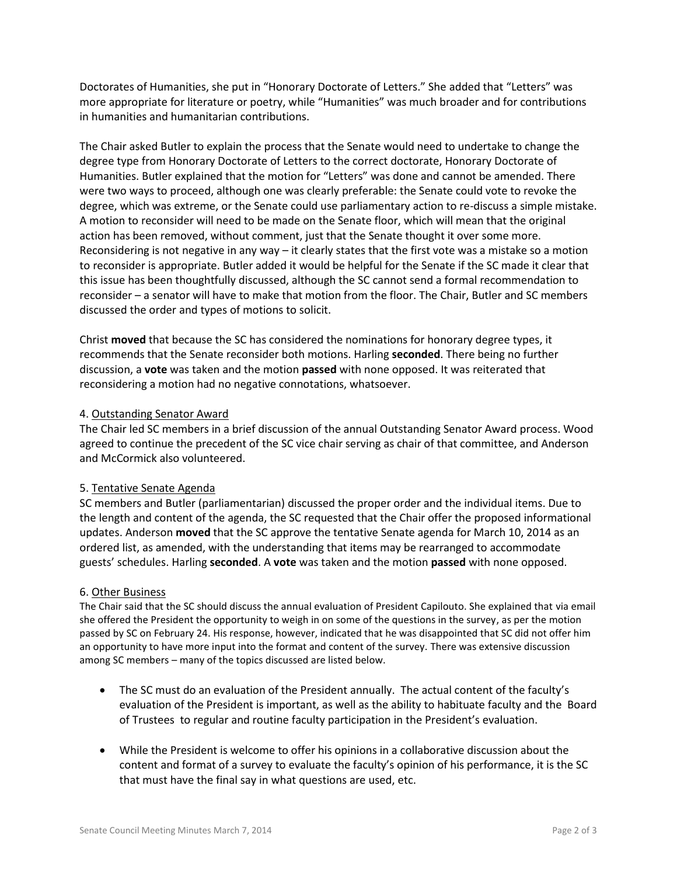Doctorates of Humanities, she put in "Honorary Doctorate of Letters." She added that "Letters" was more appropriate for literature or poetry, while "Humanities" was much broader and for contributions in humanities and humanitarian contributions.

The Chair asked Butler to explain the process that the Senate would need to undertake to change the degree type from Honorary Doctorate of Letters to the correct doctorate, Honorary Doctorate of Humanities. Butler explained that the motion for "Letters" was done and cannot be amended. There were two ways to proceed, although one was clearly preferable: the Senate could vote to revoke the degree, which was extreme, or the Senate could use parliamentary action to re-discuss a simple mistake. A motion to reconsider will need to be made on the Senate floor, which will mean that the original action has been removed, without comment, just that the Senate thought it over some more. Reconsidering is not negative in any way – it clearly states that the first vote was a mistake so a motion to reconsider is appropriate. Butler added it would be helpful for the Senate if the SC made it clear that this issue has been thoughtfully discussed, although the SC cannot send a formal recommendation to reconsider – a senator will have to make that motion from the floor. The Chair, Butler and SC members discussed the order and types of motions to solicit.

Christ **moved** that because the SC has considered the nominations for honorary degree types, it recommends that the Senate reconsider both motions. Harling **seconded**. There being no further discussion, a **vote** was taken and the motion **passed** with none opposed. It was reiterated that reconsidering a motion had no negative connotations, whatsoever.

#### 4. Outstanding Senator Award

The Chair led SC members in a brief discussion of the annual Outstanding Senator Award process. Wood agreed to continue the precedent of the SC vice chair serving as chair of that committee, and Anderson and McCormick also volunteered.

## 5. Tentative Senate Agenda

SC members and Butler (parliamentarian) discussed the proper order and the individual items. Due to the length and content of the agenda, the SC requested that the Chair offer the proposed informational updates. Anderson **moved** that the SC approve the tentative Senate agenda for March 10, 2014 as an ordered list, as amended, with the understanding that items may be rearranged to accommodate guests' schedules. Harling **seconded**. A **vote** was taken and the motion **passed** with none opposed.

#### 6. Other Business

The Chair said that the SC should discuss the annual evaluation of President Capilouto. She explained that via email she offered the President the opportunity to weigh in on some of the questions in the survey, as per the motion passed by SC on February 24. His response, however, indicated that he was disappointed that SC did not offer him an opportunity to have more input into the format and content of the survey. There was extensive discussion among SC members – many of the topics discussed are listed below.

- The SC must do an evaluation of the President annually. The actual content of the faculty's evaluation of the President is important, as well as the ability to habituate faculty and the Board of Trustees to regular and routine faculty participation in the President's evaluation.
- While the President is welcome to offer his opinions in a collaborative discussion about the content and format of a survey to evaluate the faculty's opinion of his performance, it is the SC that must have the final say in what questions are used, etc.